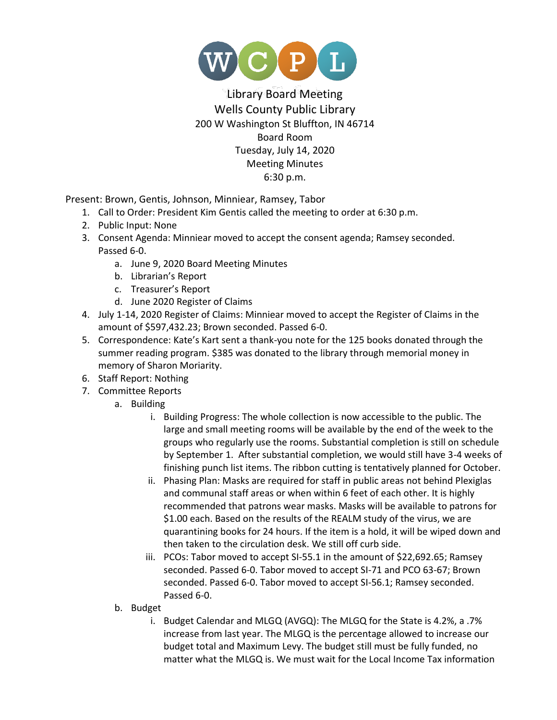

## Library Board Meeting Wells County Public Library 200 W Washington St Bluffton, IN 46714 Board Room Tuesday, July 14, 2020 Meeting Minutes 6:30 p.m.

Present: Brown, Gentis, Johnson, Minniear, Ramsey, Tabor

- 1. Call to Order: President Kim Gentis called the meeting to order at 6:30 p.m.
- 2. Public Input: None
- 3. Consent Agenda: Minniear moved to accept the consent agenda; Ramsey seconded. Passed 6-0.
	- a. June 9, 2020 Board Meeting Minutes
	- b. Librarian's Report
	- c. Treasurer's Report
	- d. June 2020 Register of Claims
- 4. July 1-14, 2020 Register of Claims: Minniear moved to accept the Register of Claims in the amount of \$597,432.23; Brown seconded. Passed 6-0.
- 5. Correspondence: Kate's Kart sent a thank-you note for the 125 books donated through the summer reading program. \$385 was donated to the library through memorial money in memory of Sharon Moriarity.
- 6. Staff Report: Nothing
- 7. Committee Reports
	- a. Building
		- i. Building Progress: The whole collection is now accessible to the public. The large and small meeting rooms will be available by the end of the week to the groups who regularly use the rooms. Substantial completion is still on schedule by September 1. After substantial completion, we would still have 3-4 weeks of finishing punch list items. The ribbon cutting is tentatively planned for October.
		- ii. Phasing Plan: Masks are required for staff in public areas not behind Plexiglas and communal staff areas or when within 6 feet of each other. It is highly recommended that patrons wear masks. Masks will be available to patrons for \$1.00 each. Based on the results of the REALM study of the virus, we are quarantining books for 24 hours. If the item is a hold, it will be wiped down and then taken to the circulation desk. We still off curb side.
		- iii. PCOs: Tabor moved to accept SI-55.1 in the amount of \$22,692.65; Ramsey seconded. Passed 6-0. Tabor moved to accept SI-71 and PCO 63-67; Brown seconded. Passed 6-0. Tabor moved to accept SI-56.1; Ramsey seconded. Passed 6-0.
	- b. Budget
		- i. Budget Calendar and MLGQ (AVGQ): The MLGQ for the State is 4.2%, a .7% increase from last year. The MLGQ is the percentage allowed to increase our budget total and Maximum Levy. The budget still must be fully funded, no matter what the MLGQ is. We must wait for the Local Income Tax information